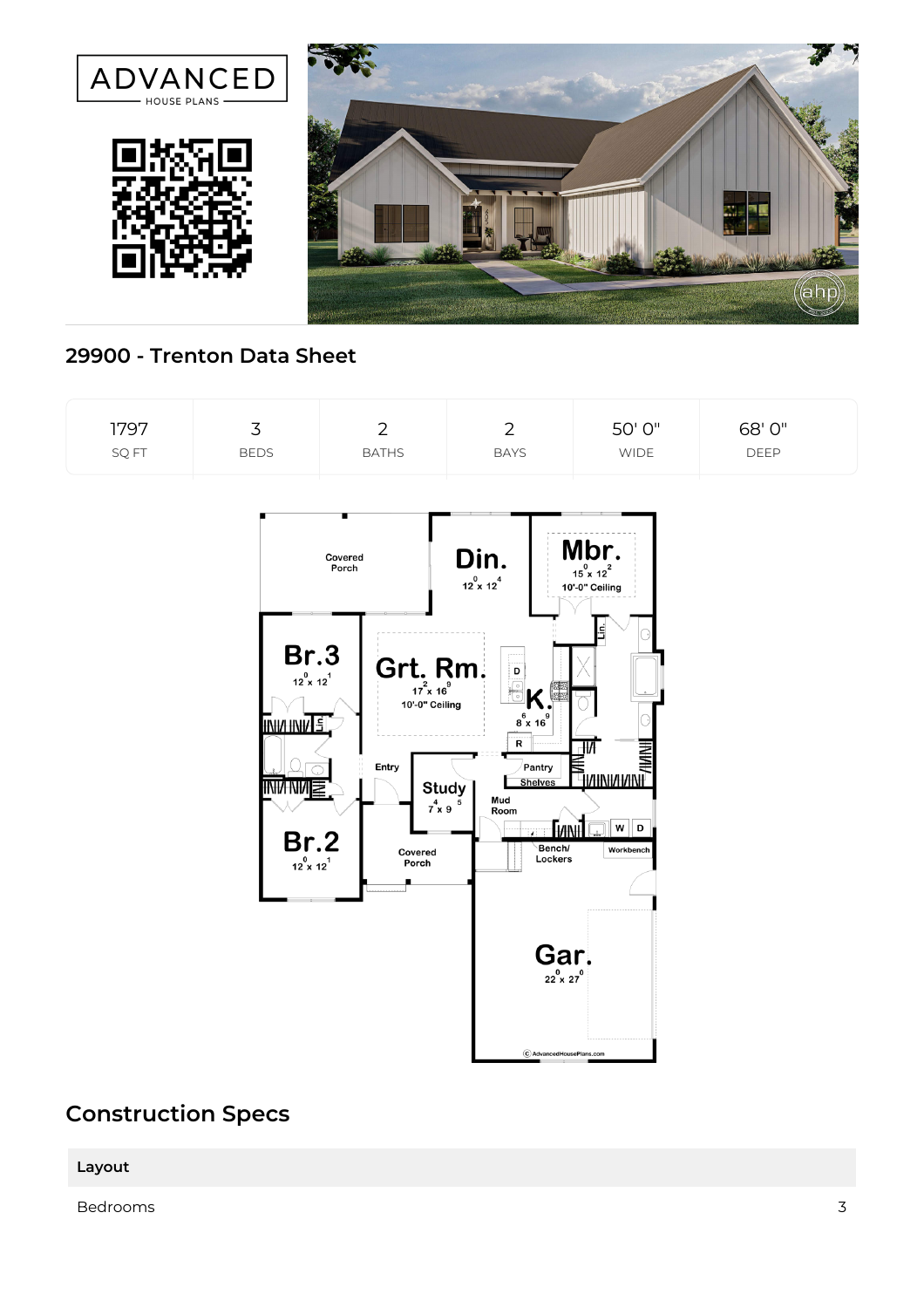

## **29900 - Trenton Data Sheet**



## **Construction Specs**

**Layout**

Bedrooms 3